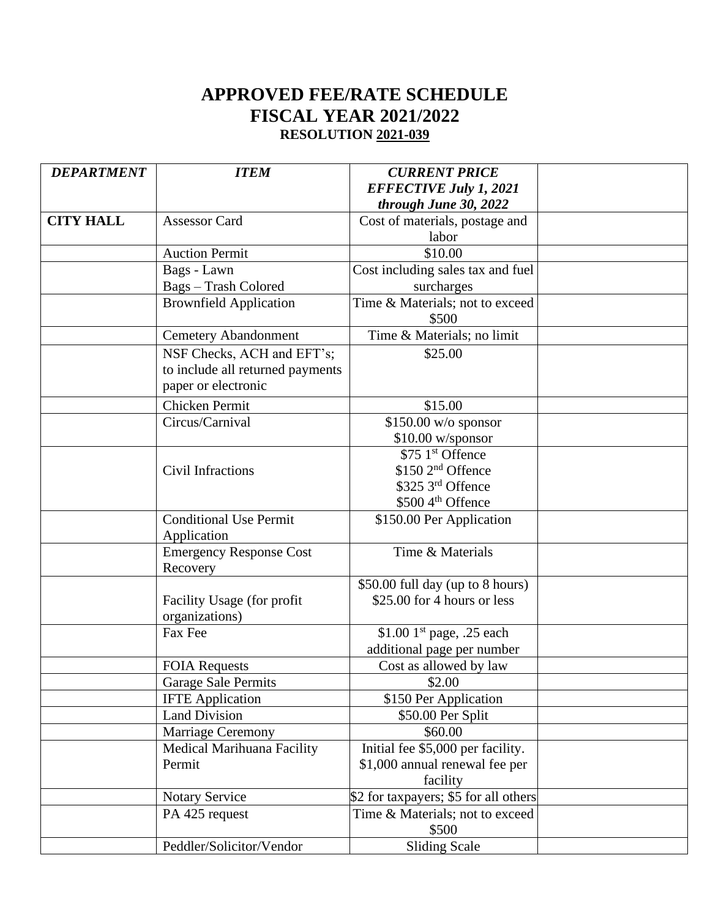## **APPROVED FEE/RATE SCHEDULE FISCAL YEAR 2021/2022 RESOLUTION 2021-039**

| <b>DEPARTMENT</b> | <b>ITEM</b>                                  | <b>CURRENT PRICE</b>                  |  |
|-------------------|----------------------------------------------|---------------------------------------|--|
|                   |                                              | <b>EFFECTIVE July 1, 2021</b>         |  |
|                   |                                              | through June 30, 2022                 |  |
| <b>CITY HALL</b>  | <b>Assessor Card</b>                         | Cost of materials, postage and        |  |
|                   |                                              | labor                                 |  |
|                   | <b>Auction Permit</b>                        | \$10.00                               |  |
|                   | Bags - Lawn                                  | Cost including sales tax and fuel     |  |
|                   | Bags - Trash Colored                         | surcharges                            |  |
|                   | <b>Brownfield Application</b>                | Time & Materials; not to exceed       |  |
|                   |                                              | \$500                                 |  |
|                   | <b>Cemetery Abandonment</b>                  | Time & Materials; no limit            |  |
|                   | NSF Checks, ACH and EFT's;                   | \$25.00                               |  |
|                   | to include all returned payments             |                                       |  |
|                   | paper or electronic                          |                                       |  |
|                   | Chicken Permit                               | \$15.00                               |  |
|                   | Circus/Carnival                              | $$150.00 \text{ w/o spons}$           |  |
|                   |                                              | $$10.00$ w/sponsor                    |  |
|                   |                                              | \$75 1st Offence                      |  |
|                   | Civil Infractions                            | \$150 2 <sup>nd</sup> Offence         |  |
|                   |                                              | \$325 3rd Offence                     |  |
|                   |                                              | \$500 4 <sup>th</sup> Offence         |  |
|                   | <b>Conditional Use Permit</b><br>Application | \$150.00 Per Application              |  |
|                   | <b>Emergency Response Cost</b>               | Time & Materials                      |  |
|                   | Recovery                                     |                                       |  |
|                   |                                              | \$50.00 full day (up to 8 hours)      |  |
|                   | Facility Usage (for profit<br>organizations) | \$25.00 for 4 hours or less           |  |
|                   | Fax Fee                                      | \$1.00 $1st$ page, .25 each           |  |
|                   |                                              | additional page per number            |  |
|                   | <b>FOIA Requests</b>                         | Cost as allowed by law                |  |
|                   | Garage Sale Permits                          | \$2.00                                |  |
|                   | <b>IFTE</b> Application                      | \$150 Per Application                 |  |
|                   | <b>Land Division</b>                         | \$50.00 Per Split                     |  |
|                   | Marriage Ceremony                            | \$60.00                               |  |
|                   | Medical Marihuana Facility                   | Initial fee \$5,000 per facility.     |  |
|                   | Permit                                       | \$1,000 annual renewal fee per        |  |
|                   |                                              | facility                              |  |
|                   | <b>Notary Service</b>                        | \$2 for taxpayers; \$5 for all others |  |
|                   | PA 425 request                               | Time & Materials; not to exceed       |  |
|                   |                                              | \$500                                 |  |
|                   | Peddler/Solicitor/Vendor                     | <b>Sliding Scale</b>                  |  |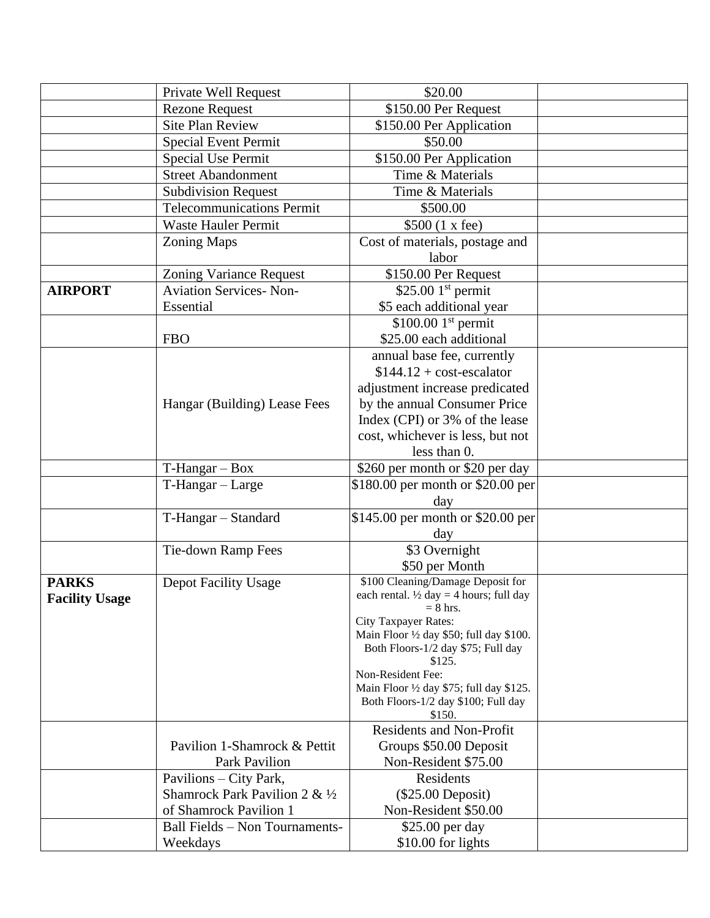|                       | Private Well Request             | \$20.00                                                          |  |
|-----------------------|----------------------------------|------------------------------------------------------------------|--|
| <b>Rezone Request</b> |                                  | \$150.00 Per Request                                             |  |
|                       | <b>Site Plan Review</b>          | \$150.00 Per Application                                         |  |
|                       | <b>Special Event Permit</b>      | \$50.00                                                          |  |
|                       | <b>Special Use Permit</b>        | \$150.00 Per Application                                         |  |
|                       | <b>Street Abandonment</b>        | Time & Materials                                                 |  |
|                       | <b>Subdivision Request</b>       | Time & Materials                                                 |  |
|                       | <b>Telecommunications Permit</b> | \$500.00                                                         |  |
|                       | <b>Waste Hauler Permit</b>       | \$500 (1 x fee)                                                  |  |
|                       | Zoning Maps                      | Cost of materials, postage and                                   |  |
|                       |                                  | labor                                                            |  |
|                       | <b>Zoning Variance Request</b>   | \$150.00 Per Request                                             |  |
| <b>AIRPORT</b>        | <b>Aviation Services-Non-</b>    | $$25.001$ <sup>st</sup> permit                                   |  |
|                       | Essential                        | \$5 each additional year                                         |  |
|                       |                                  | $$100.001$ <sup>st</sup> permit                                  |  |
|                       | <b>FBO</b>                       | \$25.00 each additional                                          |  |
|                       |                                  | annual base fee, currently                                       |  |
|                       |                                  | $$144.12 + cost-escalar$                                         |  |
|                       |                                  | adjustment increase predicated                                   |  |
|                       | Hangar (Building) Lease Fees     | by the annual Consumer Price                                     |  |
|                       |                                  | Index (CPI) or 3% of the lease                                   |  |
|                       |                                  | cost, whichever is less, but not                                 |  |
|                       |                                  | less than $0$ .                                                  |  |
|                       | $T-Hangar - Box$                 | \$260 per month or \$20 per day                                  |  |
|                       | T-Hangar - Large                 | \$180.00 per month or \$20.00 per                                |  |
|                       |                                  | day                                                              |  |
|                       | T-Hangar - Standard              | \$145.00 per month or \$20.00 per                                |  |
|                       |                                  | day                                                              |  |
|                       | Tie-down Ramp Fees               | \$3 Overnight                                                    |  |
|                       |                                  | \$50 per Month                                                   |  |
| <b>PARKS</b>          | <b>Depot Facility Usage</b>      | \$100 Cleaning/Damage Deposit for                                |  |
| <b>Facility Usage</b> |                                  | each rental. $\frac{1}{2}$ day = 4 hours; full day<br>$= 8$ hrs. |  |
|                       |                                  | City Taxpayer Rates:                                             |  |
|                       |                                  | Main Floor 1/2 day \$50; full day \$100.                         |  |
|                       |                                  | Both Floors-1/2 day \$75; Full day                               |  |
|                       |                                  | \$125.<br>Non-Resident Fee:                                      |  |
|                       |                                  | Main Floor 1/2 day \$75; full day \$125.                         |  |
|                       |                                  | Both Floors-1/2 day \$100; Full day                              |  |
|                       |                                  | \$150.                                                           |  |
|                       |                                  | <b>Residents and Non-Profit</b>                                  |  |
|                       | Pavilion 1-Shamrock & Pettit     | Groups \$50.00 Deposit                                           |  |
|                       | Park Pavilion                    | Non-Resident \$75.00                                             |  |
|                       | Pavilions – City Park,           | Residents                                                        |  |
|                       | Shamrock Park Pavilion 2 & 1/2   | $(\$25.00$ Deposit)                                              |  |
|                       | of Shamrock Pavilion 1           | Non-Resident \$50.00                                             |  |
|                       | Ball Fields - Non Tournaments-   | \$25.00 per day                                                  |  |
|                       | Weekdays                         | $$10.00$ for lights                                              |  |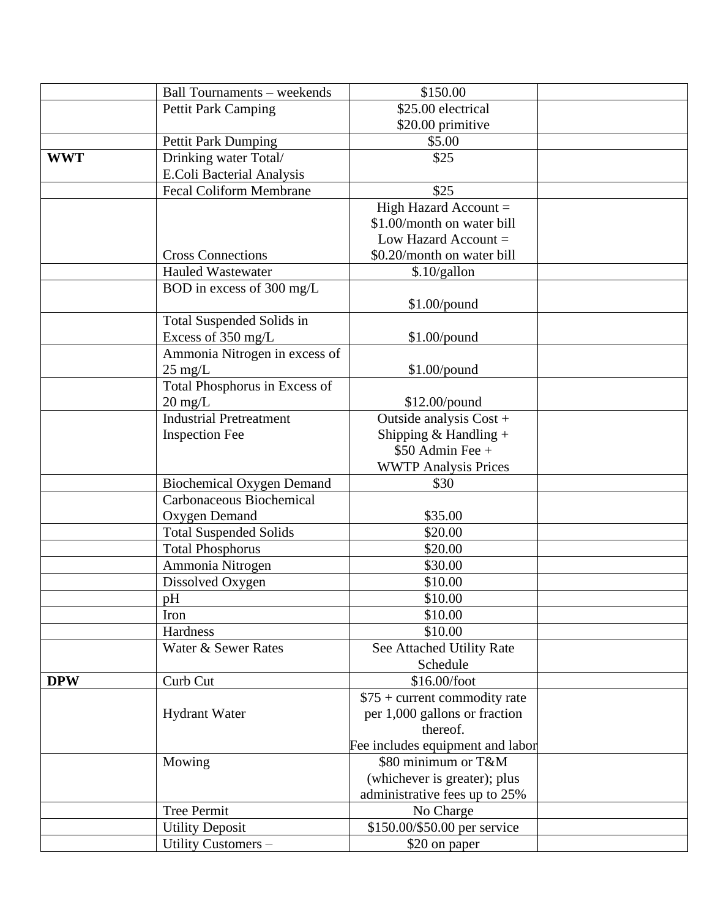|            | <b>Ball Tournaments - weekends</b> | \$150.00                         |  |
|------------|------------------------------------|----------------------------------|--|
|            | <b>Pettit Park Camping</b>         | \$25.00 electrical               |  |
|            |                                    | \$20.00 primitive                |  |
|            | <b>Pettit Park Dumping</b>         | \$5.00                           |  |
| <b>WWT</b> | Drinking water Total/              | \$25                             |  |
|            | E.Coli Bacterial Analysis          |                                  |  |
|            | <b>Fecal Coliform Membrane</b>     | \$25                             |  |
|            |                                    | High Hazard Account =            |  |
|            |                                    | \$1.00/month on water bill       |  |
|            |                                    | Low Hazard Account $=$           |  |
|            | <b>Cross Connections</b>           | \$0.20/month on water bill       |  |
|            | <b>Hauled Wastewater</b>           | \$.10/gallon                     |  |
|            | BOD in excess of 300 mg/L          |                                  |  |
|            |                                    | $$1.00$ /pound                   |  |
|            | Total Suspended Solids in          |                                  |  |
|            | Excess of 350 mg/L                 | \$1.00/pound                     |  |
|            | Ammonia Nitrogen in excess of      |                                  |  |
|            | $25 \text{ mg/L}$                  | $$1.00$ /pound                   |  |
|            | Total Phosphorus in Excess of      |                                  |  |
|            | $20 \text{ mg/L}$                  | \$12.00/pound                    |  |
|            | <b>Industrial Pretreatment</b>     | Outside analysis Cost +          |  |
|            | <b>Inspection Fee</b>              | Shipping & Handling +            |  |
|            |                                    | $$50$ Admin Fee +                |  |
|            |                                    | <b>WWTP Analysis Prices</b>      |  |
|            | <b>Biochemical Oxygen Demand</b>   | \$30                             |  |
|            | Carbonaceous Biochemical           |                                  |  |
|            | Oxygen Demand                      | \$35.00                          |  |
|            | <b>Total Suspended Solids</b>      | \$20.00                          |  |
|            | <b>Total Phosphorus</b>            | \$20.00                          |  |
|            | Ammonia Nitrogen                   | \$30.00                          |  |
|            | Dissolved Oxygen                   | \$10.00                          |  |
|            | pH                                 | \$10.00                          |  |
|            | Iron                               | \$10.00                          |  |
|            | Hardness                           | \$10.00                          |  |
|            | Water & Sewer Rates                | See Attached Utility Rate        |  |
|            |                                    | Schedule                         |  |
| <b>DPW</b> | Curb Cut                           | \$16.00/foot                     |  |
|            |                                    | $$75 + current commodity rate$   |  |
|            | <b>Hydrant Water</b>               | per 1,000 gallons or fraction    |  |
|            |                                    | thereof.                         |  |
|            |                                    | Fee includes equipment and labor |  |
|            | Mowing                             | \$80 minimum or T&M              |  |
|            |                                    | (whichever is greater); plus     |  |
|            |                                    | administrative fees up to 25%    |  |
|            | <b>Tree Permit</b>                 | No Charge                        |  |
|            | <b>Utility Deposit</b>             | \$150.00/\$50.00 per service     |  |
|            | Utility Customers -                | \$20 on paper                    |  |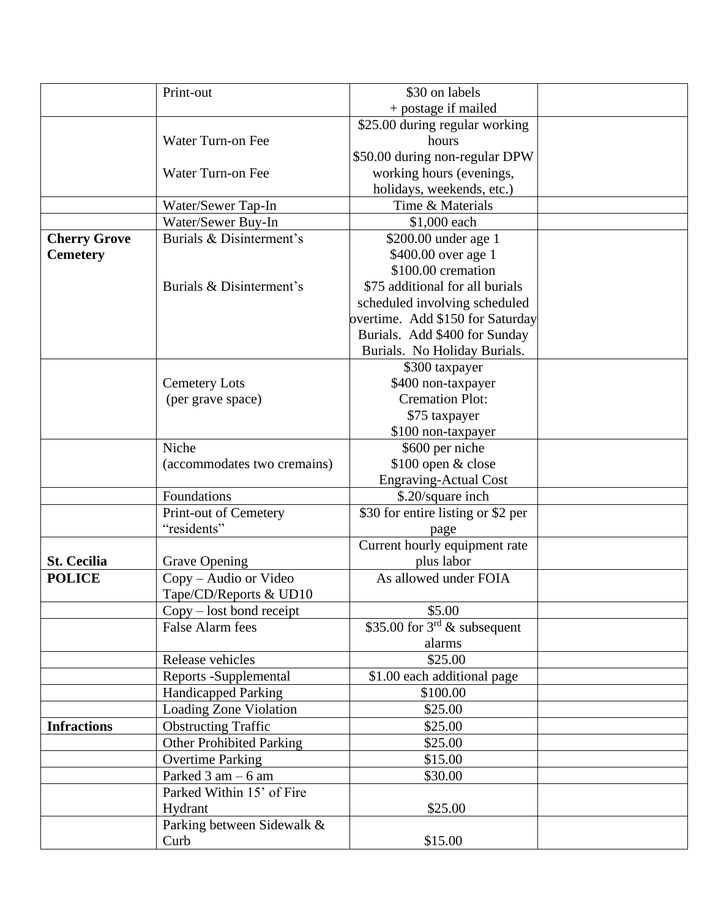|                     | Print-out                       | \$30 on labels                     |  |
|---------------------|---------------------------------|------------------------------------|--|
|                     |                                 | + postage if mailed                |  |
|                     |                                 | \$25.00 during regular working     |  |
|                     | Water Turn-on Fee               | hours                              |  |
|                     |                                 | \$50.00 during non-regular DPW     |  |
|                     | Water Turn-on Fee               | working hours (evenings,           |  |
|                     |                                 | holidays, weekends, etc.)          |  |
|                     | Water/Sewer Tap-In              | Time & Materials                   |  |
|                     | Water/Sewer Buy-In              | \$1,000 each                       |  |
| <b>Cherry Grove</b> | Burials & Disinterment's        | \$200.00 under age 1               |  |
| <b>Cemetery</b>     |                                 | \$400.00 over age 1                |  |
|                     |                                 | \$100.00 cremation                 |  |
|                     | Burials & Disinterment's        | \$75 additional for all burials    |  |
|                     |                                 | scheduled involving scheduled      |  |
|                     |                                 | overtime. Add \$150 for Saturday   |  |
|                     |                                 | Burials. Add \$400 for Sunday      |  |
|                     |                                 | Burials. No Holiday Burials.       |  |
|                     |                                 | \$300 taxpayer                     |  |
|                     | <b>Cemetery Lots</b>            | \$400 non-taxpayer                 |  |
|                     | (per grave space)               | <b>Cremation Plot:</b>             |  |
|                     |                                 | \$75 taxpayer                      |  |
|                     |                                 | \$100 non-taxpayer                 |  |
|                     | Niche                           | \$600 per niche                    |  |
|                     | (accommodates two cremains)     | \$100 open & close                 |  |
|                     |                                 | <b>Engraving-Actual Cost</b>       |  |
|                     | Foundations                     | \$.20/square inch                  |  |
|                     | Print-out of Cemetery           | \$30 for entire listing or \$2 per |  |
|                     | "residents"                     | page                               |  |
|                     |                                 | Current hourly equipment rate      |  |
| <b>St. Cecilia</b>  | <b>Grave Opening</b>            | plus labor                         |  |
| <b>POLICE</b>       | Copy - Audio or Video           | As allowed under FOIA              |  |
|                     | Tape/CD/Reports & UD10          |                                    |  |
|                     | Copy – lost bond receipt        | \$5.00                             |  |
|                     | <b>False Alarm fees</b>         | \$35.00 for $3^{rd}$ & subsequent  |  |
|                     |                                 | alarms                             |  |
|                     | Release vehicles                | \$25.00                            |  |
|                     | Reports -Supplemental           | \$1.00 each additional page        |  |
|                     | Handicapped Parking             | \$100.00                           |  |
|                     | Loading Zone Violation          | \$25.00                            |  |
| <b>Infractions</b>  | <b>Obstructing Traffic</b>      | \$25.00                            |  |
|                     | <b>Other Prohibited Parking</b> | \$25.00                            |  |
|                     | <b>Overtime Parking</b>         | \$15.00                            |  |
|                     | Parked $3$ am $-6$ am           | \$30.00                            |  |
|                     | Parked Within 15' of Fire       |                                    |  |
|                     | Hydrant                         | \$25.00                            |  |
|                     | Parking between Sidewalk &      |                                    |  |
|                     | Curb                            | \$15.00                            |  |